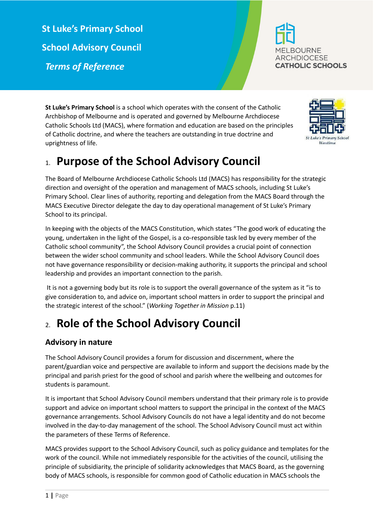**St Luke's Primary School School Advisory Council** *Terms of Reference*



**St Luke's Primary School** is a school which operates with the consent of the Catholic Archbishop of Melbourne and is operated and governed by Melbourne Archdiocese Catholic Schools Ltd (MACS), where formation and education are based on the principles of Catholic doctrine, and where the teachers are outstanding in true doctrine and uprightness of life.

# 1. **Purpose of the School Advisory Council**

The Board of Melbourne Archdiocese Catholic Schools Ltd (MACS) has responsibility for the strategic direction and oversight of the operation and management of MACS schools, including St Luke's Primary School. Clear lines of authority, reporting and delegation from the MACS Board through the MACS Executive Director delegate the day to day operational management of St Luke's Primary School to its principal.

In keeping with the objects of the MACS Constitution, which states "The good work of educating the young, undertaken in the light of the Gospel, is a co-responsible task led by every member of the Catholic school community", the School Advisory Council provides a crucial point of connection between the wider school community and school leaders. While the School Advisory Council does not have governance responsibility or decision-making authority, it supports the principal and school leadership and provides an important connection to the parish.

It is not a governing body but its role is to support the overall governance of the system as it "is to give consideration to, and advice on, important school matters in order to support the principal and the strategic interest of the school." (*Working Together in Mission* p.11)

# 2. **Role of the School Advisory Council**

### **Advisory in nature**

The School Advisory Council provides a forum for discussion and discernment, where the parent/guardian voice and perspective are available to inform and support the decisions made by the principal and parish priest for the good of school and parish where the wellbeing and outcomes for students is paramount.

It is important that School Advisory Council members understand that their primary role is to provide support and advice on important school matters to support the principal in the context of the MACS governance arrangements. School Advisory Councils do not have a legal identity and do not become involved in the day-to-day management of the school. The School Advisory Council must act within the parameters of these Terms of Reference.

MACS provides support to the School Advisory Council, such as policy guidance and templates for the work of the council. While not immediately responsible for the activities of the council, utilising the principle of subsidiarity, the principle of solidarity acknowledges that MACS Board, as the governing body of MACS schools, is responsible for common good of Catholic education in MACS schools the

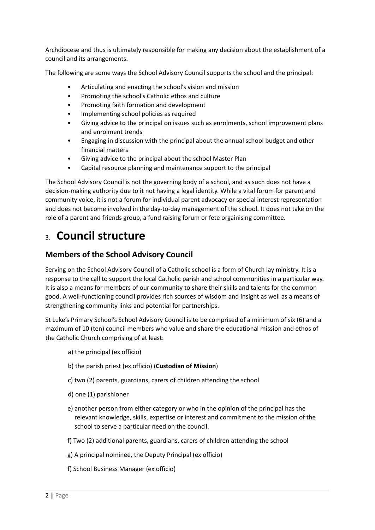Archdiocese and thus is ultimately responsible for making any decision about the establishment of a council and its arrangements.

The following are some ways the School Advisory Council supports the school and the principal:

- Articulating and enacting the school's vision and mission
- Promoting the school's Catholic ethos and culture
- Promoting faith formation and development
- Implementing school policies as required
- Giving advice to the principal on issues such as enrolments, school improvement plans and enrolment trends
- Engaging in discussion with the principal about the annual school budget and other financial matters
- Giving advice to the principal about the school Master Plan
- Capital resource planning and maintenance support to the principal

The School Advisory Council is not the governing body of a school, and as such does not have a decision-making authority due to it not having a legal identity. While a vital forum for parent and community voice, it is not a forum for individual parent advocacy or special interest representation and does not become involved in the day-to-day management of the school. It does not take on the role of a parent and friends group, a fund raising forum or fete orgainising committee.

# 3. **Council structure**

#### **Members of the School Advisory Council**

Serving on the School Advisory Council of a Catholic school is a form of Church lay ministry. It is a response to the call to support the local Catholic parish and school communities in a particular way. It is also a means for members of our community to share their skills and talents for the common good. A well-functioning council provides rich sources of wisdom and insight as well as a means of strengthening community links and potential for partnerships.

St Luke's Primary School's School Advisory Council is to be comprised of a minimum of six (6) and a maximum of 10 (ten) council members who value and share the educational mission and ethos of the Catholic Church comprising of at least:

- a) the principal (ex officio)
- b) the parish priest (ex officio) (**Custodian of Mission**)
- c) two (2) parents, guardians, carers of children attending the school
- d) one (1) parishioner
- e) another person from either category or who in the opinion of the principal has the relevant knowledge, skills, expertise or interest and commitment to the mission of the school to serve a particular need on the council.
- f) Two (2) additional parents, guardians, carers of children attending the school
- g) A principal nominee, the Deputy Principal (ex officio)
- f) School Business Manager (ex officio)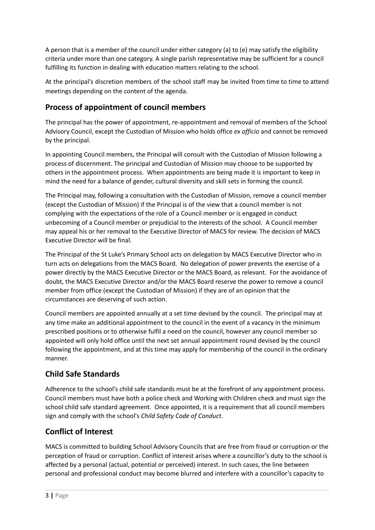A person that is a member of the council under either category (a) to (e) may satisfy the eligibility criteria under more than one category. A single parish representative may be sufficient for a council fulfilling its function in dealing with education matters relating to the school.

At the principal's discretion members of the school staff may be invited from time to time to attend meetings depending on the content of the agenda.

### **Process of appointment of council members**

The principal has the power of appointment, re-appointment and removal of members of the School Advisory Council, except the Custodian of Mission who holds office *ex officio* and cannot be removed by the principal.

In appointing Council members, the Principal will consult with the Custodian of Mission following a process of discernment. The principal and Custodian of Mission may choose to be supported by others in the appointment process. When appointments are being made it is important to keep in mind the need for a balance of gender, cultural diversity and skill sets in forming the council.

The Principal may, following a consultation with the Custodian of Mission, remove a council member (except the Custodian of Mission) if the Principal is of the view that a council member is not complying with the expectations of the role of a Council member or is engaged in conduct unbecoming of a Council member or prejudicial to the interests of the school. A Council member may appeal his or her removal to the Executive Director of MACS for review. The decision of MACS Executive Director will be final.

The Principal of the St Luke's Primary School acts on delegation by MACS Executive Director who in turn acts on delegations from the MACS Board. No delegation of power prevents the exercise of a power directly by the MACS Executive Director or the MACS Board, as relevant. For the avoidance of doubt, the MACS Executive Director and/or the MACS Board reserve the power to remove a council member from office (except the Custodian of Mission) if they are of an opinion that the circumstances are deserving of such action.

Council members are appointed annually at a set time devised by the council. The principal may at any time make an additional appointment to the council in the event of a vacancy in the minimum prescribed positions or to otherwise fulfil a need on the council, however any council member so appointed will only hold office until the next set annual appointment round devised by the council following the appointment, and at this time may apply for membership of the council in the ordinary manner.

## **Child Safe Standards**

Adherence to the school's child safe standards must be at the forefront of any appointment process. Council members must have both a police check and Working with Children check and must sign the school child safe standard agreement. Once appointed, it is a requirement that all council members sign and comply with the school's *Child Safety Code of Conduct*.

### **Conflict of Interest**

MACS is committed to building School Advisory Councils that are free from fraud or corruption or the perception of fraud or corruption. Conflict of interest arises where a councillor's duty to the school is affected by a personal (actual, potential or perceived) interest. In such cases, the line between personal and professional conduct may become blurred and interfere with a councillor's capacity to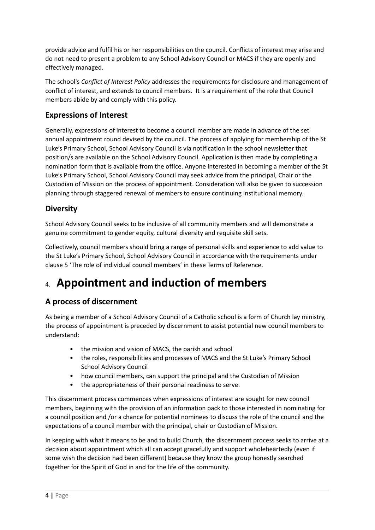provide advice and fulfil his or her responsibilities on the council. Conflicts of interest may arise and do not need to present a problem to any School Advisory Council or MACS if they are openly and effectively managed.

The school's *Conflict of Interest Policy* addresses the requirements for disclosure and management of conflict of interest, and extends to council members. It is a requirement of the role that Council members abide by and comply with this policy.

### **Expressions of Interest**

Generally, expressions of interest to become a council member are made in advance of the set annual appointment round devised by the council. The process of applying for membership of the St Luke's Primary School, School Advisory Council is via notification in the school newsletter that position/s are available on the School Advisory Council. Application is then made by completing a nomination form that is available from the office. Anyone interested in becoming a member of the St Luke's Primary School, School Advisory Council may seek advice from the principal, Chair or the Custodian of Mission on the process of appointment. Consideration will also be given to succession planning through staggered renewal of members to ensure continuing institutional memory.

### **Diversity**

School Advisory Council seeks to be inclusive of all community members and will demonstrate a genuine commitment to gender equity, cultural diversity and requisite skill sets.

Collectively, council members should bring a range of personal skills and experience to add value to the St Luke's Primary School, School Advisory Council in accordance with the requirements under clause 5 'The role of individual council members' in these Terms of Reference.

# 4. **Appointment and induction of members**

### **A process of discernment**

As being a member of a School Advisory Council of a Catholic school is a form of Church lay ministry, the process of appointment is preceded by discernment to assist potential new council members to understand:

- the mission and vision of MACS, the parish and school
- the roles, responsibilities and processes of MACS and the St Luke's Primary School School Advisory Council
- how council members, can support the principal and the Custodian of Mission
- the appropriateness of their personal readiness to serve.

This discernment process commences when expressions of interest are sought for new council members, beginning with the provision of an information pack to those interested in nominating for a council position and /or a chance for potential nominees to discuss the role of the council and the expectations of a council member with the principal, chair or Custodian of Mission.

In keeping with what it means to be and to build Church, the discernment process seeks to arrive at a decision about appointment which all can accept gracefully and support wholeheartedly (even if some wish the decision had been different) because they know the group honestly searched together for the Spirit of God in and for the life of the community.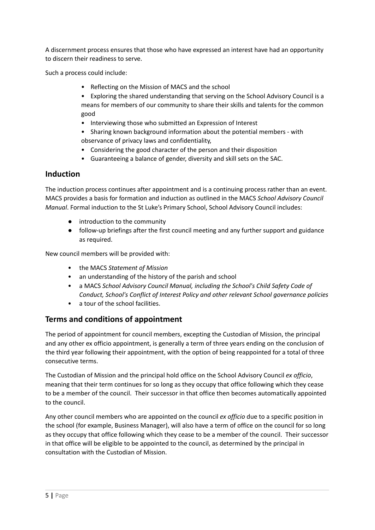A discernment process ensures that those who have expressed an interest have had an opportunity to discern their readiness to serve.

Such a process could include:

- Reflecting on the Mission of MACS and the school
- Exploring the shared understanding that serving on the School Advisory Council is a means for members of our community to share their skills and talents for the common good
- Interviewing those who submitted an Expression of Interest
- Sharing known background information about the potential members with observance of privacy laws and confidentiality,
- Considering the good character of the person and their disposition
- Guaranteeing a balance of gender, diversity and skill sets on the SAC.

#### **Induction**

The induction process continues after appointment and is a continuing process rather than an event. MACS provides a basis for formation and induction as outlined in the MACS *School Advisory Council Manual*. Formal induction to the St Luke's Primary School, School Advisory Council includes:

- introduction to the community
- follow-up briefings after the first council meeting and any further support and guidance as required.

New council members will be provided with:

- the MACS *Statement of Mission*
- an understanding of the history of the parish and school
- a MACS *School Advisory Council Manual, including the School's Child Safety Code of Conduct, School's Conflict of Interest Policy and other relevant School governance policies*
- a tour of the school facilities.

### **Terms and conditions of appointment**

The period of appointment for council members, excepting the Custodian of Mission, the principal and any other ex officio appointment, is generally a term of three years ending on the conclusion of the third year following their appointment, with the option of being reappointed for a total of three consecutive terms.

The Custodian of Mission and the principal hold office on the School Advisory Council *ex officio*, meaning that their term continues for so long as they occupy that office following which they cease to be a member of the council. Their successor in that office then becomes automatically appointed to the council.

Any other council members who are appointed on the council *ex officio* due to a specific position in the school (for example, Business Manager), will also have a term of office on the council for so long as they occupy that office following which they cease to be a member of the council. Their successor in that office will be eligible to be appointed to the council, as determined by the principal in consultation with the Custodian of Mission.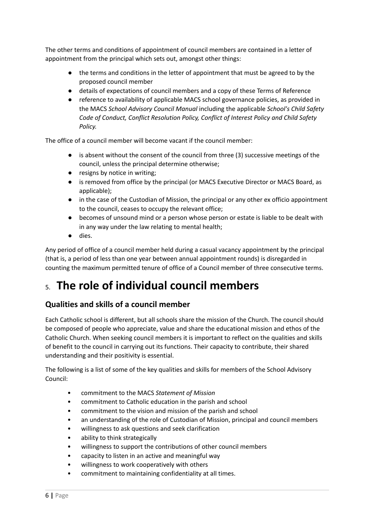The other terms and conditions of appointment of council members are contained in a letter of appointment from the principal which sets out, amongst other things:

- the terms and conditions in the letter of appointment that must be agreed to by the proposed council member
- details of expectations of council members and a copy of these Terms of Reference
- reference to availability of applicable MACS school governance policies, as provided in the MACS *School Advisory Council Manual* including the applicable *School's Child Safety Code of Conduct, Conflict Resolution Policy, Conflict of Interest Policy and Child Safety Policy.*

The office of a council member will become vacant if the council member:

- is absent without the consent of the council from three (3) successive meetings of the council, unless the principal determine otherwise;
- resigns by notice in writing;
- is removed from office by the principal (or MACS Executive Director or MACS Board, as applicable);
- in the case of the Custodian of Mission, the principal or any other ex officio appointment to the council, ceases to occupy the relevant office;
- becomes of unsound mind or a person whose person or estate is liable to be dealt with in any way under the law relating to mental health;
- dies.

Any period of office of a council member held during a casual vacancy appointment by the principal (that is, a period of less than one year between annual appointment rounds) is disregarded in counting the maximum permitted tenure of office of a Council member of three consecutive terms.

# 5. **The role of individual council members**

## **Qualities and skills of a council member**

Each Catholic school is different, but all schools share the mission of the Church. The council should be composed of people who appreciate, value and share the educational mission and ethos of the Catholic Church. When seeking council members it is important to reflect on the qualities and skills of benefit to the council in carrying out its functions. Their capacity to contribute, their shared understanding and their positivity is essential.

The following is a list of some of the key qualities and skills for members of the School Advisory Council:

- commitment to the MACS *Statement of Mission*
- commitment to Catholic education in the parish and school
- commitment to the vision and mission of the parish and school
- an understanding of the role of Custodian of Mission, principal and council members
- willingness to ask questions and seek clarification
- ability to think strategically
- willingness to support the contributions of other council members
- capacity to listen in an active and meaningful way
- willingness to work cooperatively with others
- commitment to maintaining confidentiality at all times.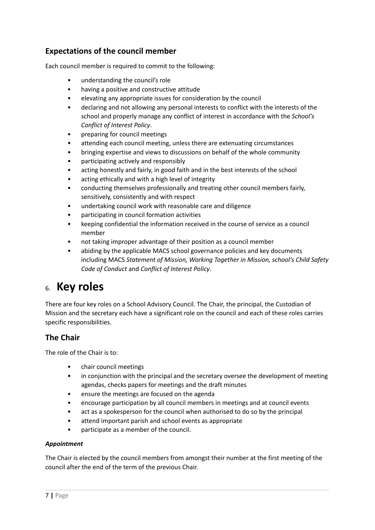### **Expectations of the council member**

Each council member is required to commit to the following:

- understanding the council's role
- having a positive and constructive attitude
- elevating any appropriate issues for consideration by the council
- declaring and not allowing any personal interests to conflict with the interests of the school and properly manage any conflict of interest in accordance with the *School's Conflict of Interest Policy*.
- preparing for council meetings
- attending each council meeting, unless there are extenuating circumstances
- bringing expertise and views to discussions on behalf of the whole community
- participating actively and responsibly
- acting honestly and fairly, in good faith and in the best interests of the school
- acting ethically and with a high level of integrity
- conducting themselves professionally and treating other council members fairly, sensitively, consistently and with respect
- undertaking council work with reasonable care and diligence
- participating in council formation activities
- keeping confidential the information received in the course of service as a council member
- not taking improper advantage of their position as a council member
- abiding by the applicable MACS school governance policies and key documents including MACS *Statement of Mission, Working Together in Mission, school's Child Safety Code of Conduct* and *Conflict of Interest Policy*.

## 6. **Key roles**

There are four key roles on a School Advisory Council. The Chair, the principal, the Custodian of Mission and the secretary each have a significant role on the council and each of these roles carries specific responsibilities.

#### **The Chair**

The role of the Chair is to:

- chair council meetings
- in conjunction with the principal and the secretary oversee the development of meeting agendas, checks papers for meetings and the draft minutes
- ensure the meetings are focused on the agenda
- encourage participation by all council members in meetings and at council events
- act as a spokesperson for the council when authorised to do so by the principal
- attend important parish and school events as appropriate
- participate as a member of the council.

#### *Appointment*

The Chair is elected by the council members from amongst their number at the first meeting of the council after the end of the term of the previous Chair.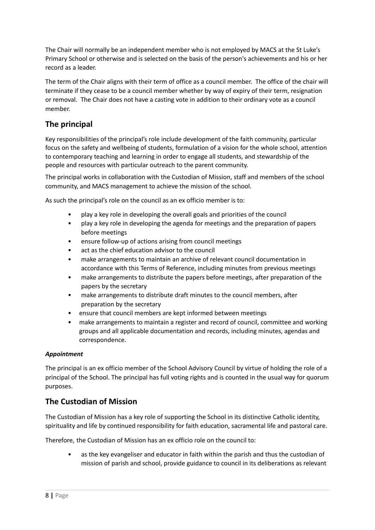The Chair will normally be an independent member who is not employed by MACS at the St Luke's Primary School or otherwise and is selected on the basis of the person's achievements and his or her record as a leader.

The term of the Chair aligns with their term of office as a council member. The office of the chair will terminate if they cease to be a council member whether by way of expiry of their term, resignation or removal. The Chair does not have a casting vote in addition to their ordinary vote as a council member.

### **The principal**

Key responsibilities of the principal's role include development of the faith community, particular focus on the safety and wellbeing of students, formulation of a vision for the whole school, attention to contemporary teaching and learning in order to engage all students, and stewardship of the people and resources with particular outreach to the parent community.

The principal works in collaboration with the Custodian of Mission, staff and members of the school community, and MACS management to achieve the mission of the school.

As such the principal's role on the council as an ex officio member is to:

- play a key role in developing the overall goals and priorities of the council
- play a key role in developing the agenda for meetings and the preparation of papers before meetings
- ensure follow-up of actions arising from council meetings
- act as the chief education advisor to the council
- make arrangements to maintain an archive of relevant council documentation in accordance with this Terms of Reference, including minutes from previous meetings
- make arrangements to distribute the papers before meetings, after preparation of the papers by the secretary
- make arrangements to distribute draft minutes to the council members, after preparation by the secretary
- ensure that council members are kept informed between meetings
- make arrangements to maintain a register and record of council, committee and working groups and all applicable documentation and records, including minutes, agendas and correspondence.

#### *Appointment*

The principal is an ex officio member of the School Advisory Council by virtue of holding the role of a principal of the School. The principal has full voting rights and is counted in the usual way for quorum purposes.

#### **The Custodian of Mission**

The Custodian of Mission has a key role of supporting the School in its distinctive Catholic identity, spirituality and life by continued responsibility for faith education, sacramental life and pastoral care.

Therefore, the Custodian of Mission has an ex officio role on the council to:

as the key evangeliser and educator in faith within the parish and thus the custodian of mission of parish and school, provide guidance to council in its deliberations as relevant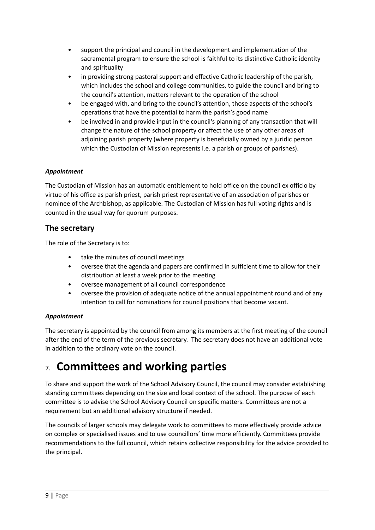- support the principal and council in the development and implementation of the sacramental program to ensure the school is faithful to its distinctive Catholic identity and spirituality
- in providing strong pastoral support and effective Catholic leadership of the parish, which includes the school and college communities, to guide the council and bring to the council's attention, matters relevant to the operation of the school
- be engaged with, and bring to the council's attention, those aspects of the school's operations that have the potential to harm the parish's good name
- be involved in and provide input in the council's planning of any transaction that will change the nature of the school property or affect the use of any other areas of adjoining parish property (where property is beneficially owned by a juridic person which the Custodian of Mission represents i.e. a parish or groups of parishes).

#### *Appointment*

The Custodian of Mission has an automatic entitlement to hold office on the council ex officio by virtue of his office as parish priest, parish priest representative of an association of parishes or nominee of the Archbishop, as applicable. The Custodian of Mission has full voting rights and is counted in the usual way for quorum purposes.

#### **The secretary**

The role of the Secretary is to:

- take the minutes of council meetings
- oversee that the agenda and papers are confirmed in sufficient time to allow for their distribution at least a week prior to the meeting
- oversee management of all council correspondence
- oversee the provision of adequate notice of the annual appointment round and of any intention to call for nominations for council positions that become vacant.

#### *Appointment*

The secretary is appointed by the council from among its members at the first meeting of the council after the end of the term of the previous secretary. The secretary does not have an additional vote in addition to the ordinary vote on the council.

# 7. **Committees and working parties**

To share and support the work of the School Advisory Council, the council may consider establishing standing committees depending on the size and local context of the school. The purpose of each committee is to advise the School Advisory Council on specific matters. Committees are not a requirement but an additional advisory structure if needed.

The councils of larger schools may delegate work to committees to more effectively provide advice on complex or specialised issues and to use councillors' time more efficiently. Committees provide recommendations to the full council, which retains collective responsibility for the advice provided to the principal.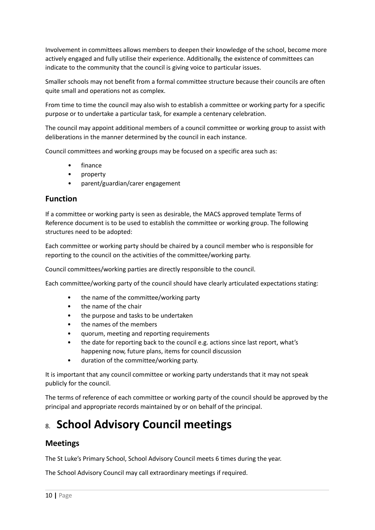Involvement in committees allows members to deepen their knowledge of the school, become more actively engaged and fully utilise their experience. Additionally, the existence of committees can indicate to the community that the council is giving voice to particular issues.

Smaller schools may not benefit from a formal committee structure because their councils are often quite small and operations not as complex.

From time to time the council may also wish to establish a committee or working party for a specific purpose or to undertake a particular task, for example a centenary celebration.

The council may appoint additional members of a council committee or working group to assist with deliberations in the manner determined by the council in each instance.

Council committees and working groups may be focused on a specific area such as:

- finance
- property
- parent/guardian/carer engagement

#### **Function**

If a committee or working party is seen as desirable, the MACS approved template Terms of Reference document is to be used to establish the committee or working group. The following structures need to be adopted:

Each committee or working party should be chaired by a council member who is responsible for reporting to the council on the activities of the committee/working party.

Council committees/working parties are directly responsible to the council.

Each committee/working party of the council should have clearly articulated expectations stating:

- the name of the committee/working party
- the name of the chair
- the purpose and tasks to be undertaken
- the names of the members
- quorum, meeting and reporting requirements
- the date for reporting back to the council e.g. actions since last report, what's happening now, future plans, items for council discussion
- duration of the committee/working party.

It is important that any council committee or working party understands that it may not speak publicly for the council.

The terms of reference of each committee or working party of the council should be approved by the principal and appropriate records maintained by or on behalf of the principal.

# 8. **School Advisory Council meetings**

#### **Meetings**

The St Luke's Primary School, School Advisory Council meets 6 times during the year.

The School Advisory Council may call extraordinary meetings if required.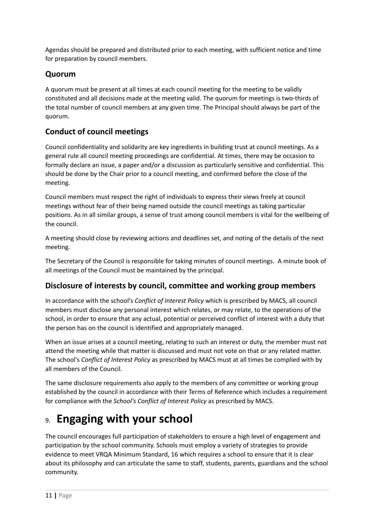Agendas should be prepared and distributed prior to each meeting, with sufficient notice and time for preparation by council members.

### **Quorum**

A quorum must be present at all times at each council meeting for the meeting to be validly constituted and all decisions made at the meeting valid. The quorum for meetings is two-thirds of the total number of council members at any given time. The Principal should always be part of the quorum.

### **Conduct of council meetings**

Council confidentiality and solidarity are key ingredients in building trust at council meetings. As a general rule all council meeting proceedings are confidential. At times, there may be occasion to formally declare an issue, a paper and/or a discussion as particularly sensitive and confidential. This should be done by the Chair prior to a council meeting, and confirmed before the close of the meeting.

Council members must respect the right of individuals to express their views freely at council meetings without fear of their being named outside the council meetings as taking particular positions. As in all similar groups, a sense of trust among council members is vital for the wellbeing of the council.

A meeting should close by reviewing actions and deadlines set, and noting of the details of the next meeting.

The Secretary of the Council is responsible for taking minutes of council meetings. A minute book of all meetings of the Council must be maintained by the principal.

### **Disclosure of interests by council, committee and working group members**

In accordance with the school's *Conflict of Interest Policy* which is prescribed by MACS, all council members must disclose any personal interest which relates, or may relate, to the operations of the school, in order to ensure that any actual, potential or perceived conflict of interest with a duty that the person has on the council is identified and appropriately managed.

When an issue arises at a council meeting, relating to such an interest or duty, the member must not attend the meeting while that matter is discussed and must not vote on that or any related matter. The school's *Conflict of Interest Policy* as prescribed by MACS must at all times be complied with by all members of the Council.

The same disclosure requirements also apply to the members of any committee or working group established by the council in accordance with their Terms of Reference which includes a requirement for compliance with the *School's Conflict of Interest Policy* as prescribed by MACS.

# 9. **Engaging with your school**

The council encourages full participation of stakeholders to ensure a high level of engagement and participation by the school community. Schools must employ a variety of strategies to provide evidence to meet VRQA Minimum Standard, 16 which requires a school to ensure that it is clear about its philosophy and can articulate the same to staff, students, parents, guardians and the school community.